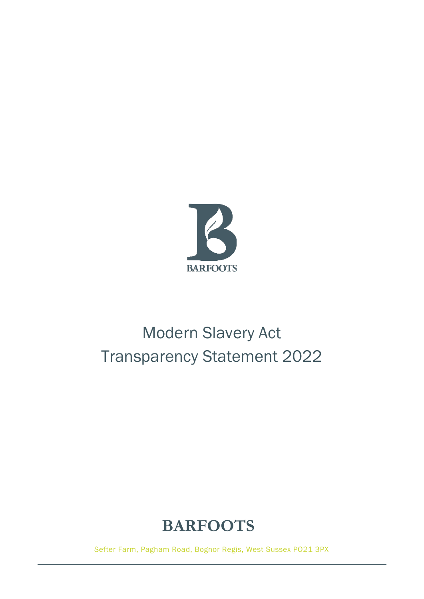

# Modern Slavery Act Transparency Statement 2022

## **BARFOOTS**

Sefter Farm, Pagham Road, Bognor Regis, West Sussex PO21 3PX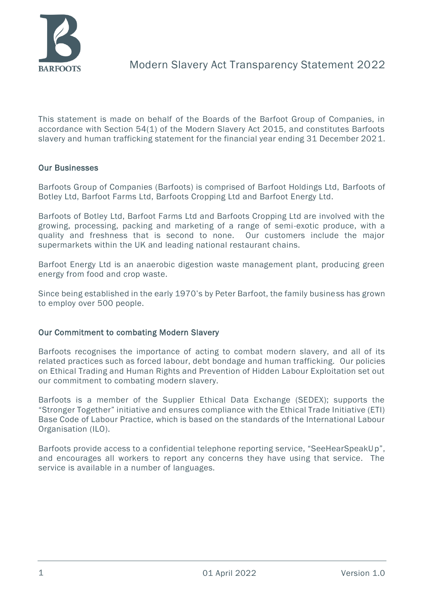

This statement is made on behalf of the Boards of the Barfoot Group of Companies, in accordance with Section 54(1) of the Modern Slavery Act 2015, and constitutes Barfoots slavery and human trafficking statement for the financial year ending 31 December 2021.

#### Our Businesses

Barfoots Group of Companies (Barfoots) is comprised of Barfoot Holdings Ltd, Barfoots of Botley Ltd, Barfoot Farms Ltd, Barfoots Cropping Ltd and Barfoot Energy Ltd.

Barfoots of Botley Ltd, Barfoot Farms Ltd and Barfoots Cropping Ltd are involved with the growing, processing, packing and marketing of a range of semi-exotic produce, with a quality and freshness that is second to none. Our customers include the major supermarkets within the UK and leading national restaurant chains.

Barfoot Energy Ltd is an anaerobic digestion waste management plant, producing green energy from food and crop waste.

Since being established in the early 1970's by Peter Barfoot, the family business has grown to employ over 500 people.

#### Our Commitment to combating Modern Slavery

Barfoots recognises the importance of acting to combat modern slavery, and all of its related practices such as forced labour, debt bondage and human trafficking. Our policies on Ethical Trading and Human Rights and Prevention of Hidden Labour Exploitation set out our commitment to combating modern slavery.

Barfoots is a member of the Supplier Ethical Data Exchange (SEDEX); supports the "Stronger Together" initiative and ensures compliance with the Ethical Trade Initiative (ETI) Base Code of Labour Practice, which is based on the standards of the International Labour Organisation (ILO).

Barfoots provide access to a confidential telephone reporting service, "SeeHearSpeakUp", and encourages all workers to report any concerns they have using that service. The service is available in a number of languages.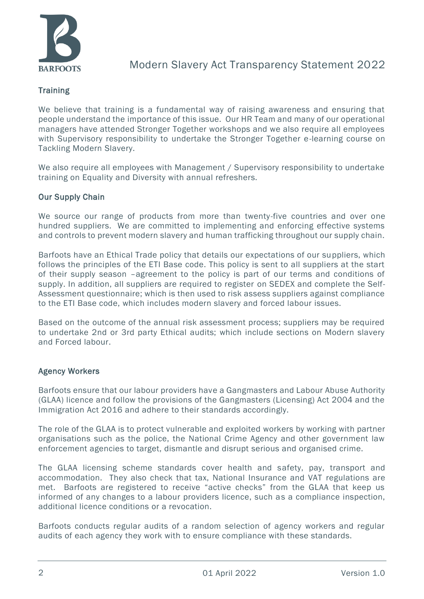

## Modern Slavery Act Transparency Statement 2022

## **Training**

We believe that training is a fundamental way of raising awareness and ensuring that people understand the importance of this issue. Our HR Team and many of our operational managers have attended Stronger Together workshops and we also require all employees with Supervisory responsibility to undertake the Stronger Together e-learning course on Tackling Modern Slavery.

We also require all employees with Management / Supervisory responsibility to undertake training on Equality and Diversity with annual refreshers.

### Our Supply Chain

We source our range of products from more than twenty-five countries and over one hundred suppliers. We are committed to implementing and enforcing effective systems and controls to prevent modern slavery and human trafficking throughout our supply chain.

Barfoots have an Ethical Trade policy that details our expectations of our suppliers, which follows the principles of the ETI Base code. This policy is sent to all suppliers at the start of their supply season –agreement to the policy is part of our terms and conditions of supply. In addition, all suppliers are required to register on SEDEX and complete the Self-Assessment questionnaire; which is then used to risk assess suppliers against compliance to the ETI Base code, which includes modern slavery and forced labour issues.

Based on the outcome of the annual risk assessment process; suppliers may be required to undertake 2nd or 3rd party Ethical audits; which include sections on Modern slavery and Forced labour.

## Agency Workers

Barfoots ensure that our labour providers have a Gangmasters and Labour Abuse Authority (GLAA) licence and follow the provisions of the Gangmasters (Licensing) Act 2004 and the Immigration Act 2016 and adhere to their standards accordingly.

The role of the GLAA is to protect vulnerable and exploited workers by working with partner organisations such as the police, the National Crime Agency and other government law enforcement agencies to target, dismantle and disrupt serious and organised crime.

The GLAA licensing scheme standards cover health and safety, pay, transport and accommodation. They also check that tax, National Insurance and VAT regulations are met. Barfoots are registered to receive "active checks" from the GLAA that keep us informed of any changes to a labour providers licence, such as a compliance inspection, additional licence conditions or a revocation.

Barfoots conducts regular audits of a random selection of agency workers and regular audits of each agency they work with to ensure compliance with these standards.